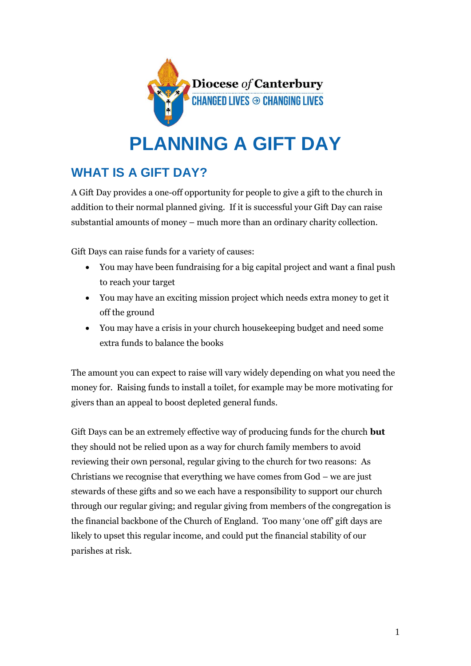

# **PLANNING A GIFT DAY**

## **WHAT IS A GIFT DAY?**

A Gift Day provides a one-off opportunity for people to give a gift to the church in addition to their normal planned giving. If it is successful your Gift Day can raise substantial amounts of money – much more than an ordinary charity collection.

Gift Days can raise funds for a variety of causes:

- You may have been fundraising for a big capital project and want a final push to reach your target
- You may have an exciting mission project which needs extra money to get it off the ground
- You may have a crisis in your church housekeeping budget and need some extra funds to balance the books

The amount you can expect to raise will vary widely depending on what you need the money for. Raising funds to install a toilet, for example may be more motivating for givers than an appeal to boost depleted general funds.

Gift Days can be an extremely effective way of producing funds for the church **but** they should not be relied upon as a way for church family members to avoid reviewing their own personal, regular giving to the church for two reasons: As Christians we recognise that everything we have comes from God – we are just stewards of these gifts and so we each have a responsibility to support our church through our regular giving; and regular giving from members of the congregation is the financial backbone of the Church of England. Too many 'one off' gift days are likely to upset this regular income, and could put the financial stability of our parishes at risk.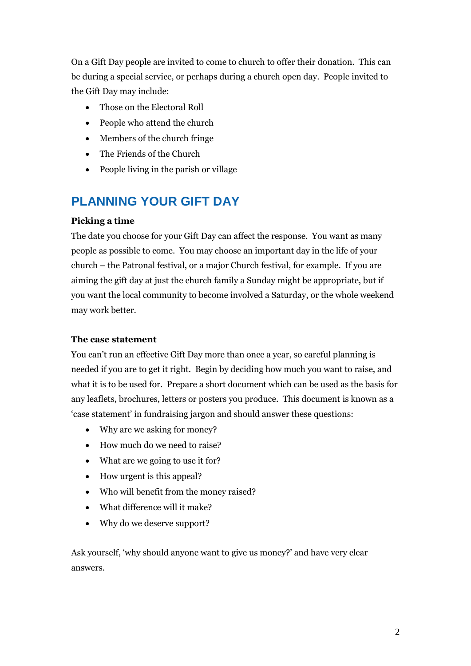On a Gift Day people are invited to come to church to offer their donation. This can be during a special service, or perhaps during a church open day. People invited to the Gift Day may include:

- Those on the Electoral Roll
- People who attend the church
- Members of the church fringe
- The Friends of the Church
- People living in the parish or village

### **PLANNING YOUR GIFT DAY**

#### **Picking a time**

The date you choose for your Gift Day can affect the response. You want as many people as possible to come. You may choose an important day in the life of your church – the Patronal festival, or a major Church festival, for example. If you are aiming the gift day at just the church family a Sunday might be appropriate, but if you want the local community to become involved a Saturday, or the whole weekend may work better.

#### **The case statement**

You can't run an effective Gift Day more than once a year, so careful planning is needed if you are to get it right. Begin by deciding how much you want to raise, and what it is to be used for. Prepare a short document which can be used as the basis for any leaflets, brochures, letters or posters you produce. This document is known as a 'case statement' in fundraising jargon and should answer these questions:

- Why are we asking for money?
- How much do we need to raise?
- What are we going to use it for?
- How urgent is this appeal?
- Who will benefit from the money raised?
- What difference will it make?
- Why do we deserve support?

Ask yourself, 'why should anyone want to give us money?' and have very clear answers.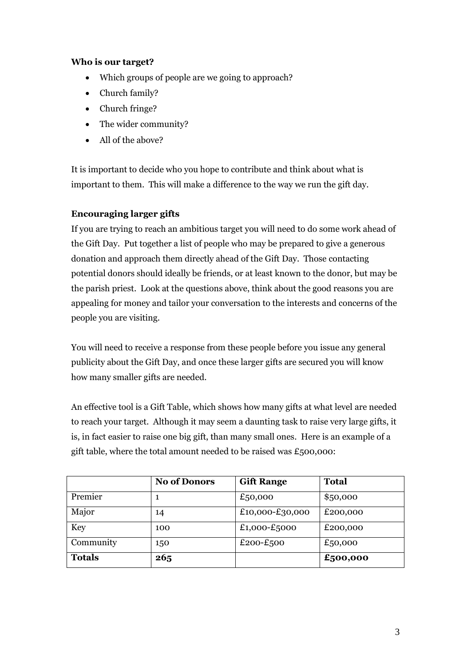#### **Who is our target?**

- Which groups of people are we going to approach?
- Church family?
- Church fringe?
- The wider community?
- All of the above?

It is important to decide who you hope to contribute and think about what is important to them. This will make a difference to the way we run the gift day.

#### **Encouraging larger gifts**

If you are trying to reach an ambitious target you will need to do some work ahead of the Gift Day. Put together a list of people who may be prepared to give a generous donation and approach them directly ahead of the Gift Day. Those contacting potential donors should ideally be friends, or at least known to the donor, but may be the parish priest. Look at the questions above, think about the good reasons you are appealing for money and tailor your conversation to the interests and concerns of the people you are visiting.

You will need to receive a response from these people before you issue any general publicity about the Gift Day, and once these larger gifts are secured you will know how many smaller gifts are needed.

An effective tool is a Gift Table, which shows how many gifts at what level are needed to reach your target. Although it may seem a daunting task to raise very large gifts, it is, in fact easier to raise one big gift, than many small ones. Here is an example of a gift table, where the total amount needed to be raised was  $£500,000$ :

|               | <b>No of Donors</b> | <b>Gift Range</b> | <b>Total</b> |
|---------------|---------------------|-------------------|--------------|
| Premier       |                     | £50,000           | \$50,000     |
| Major         | 14                  | £10,000-£30,000   | £200,000     |
| <b>Key</b>    | 100                 | £1,000-£5000      | £200,000     |
| Community     | 150                 | £200-£500         | £50,000      |
| <b>Totals</b> | 265                 |                   | £500,000     |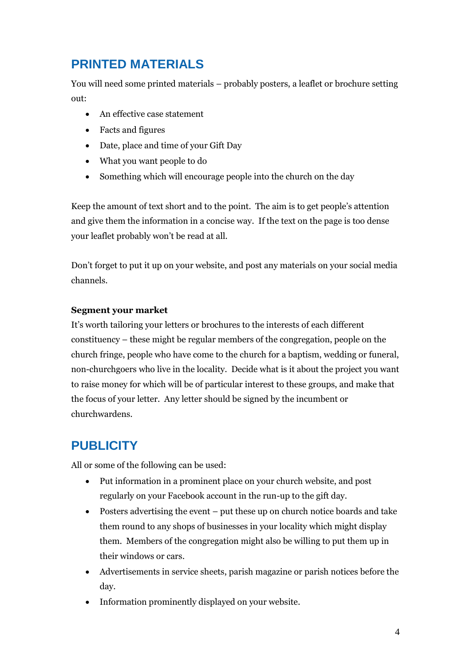### **PRINTED MATERIALS**

You will need some printed materials – probably posters, a leaflet or brochure setting out:

- An effective case statement
- Facts and figures
- Date, place and time of your Gift Day
- What you want people to do
- Something which will encourage people into the church on the day

Keep the amount of text short and to the point. The aim is to get people's attention and give them the information in a concise way. If the text on the page is too dense your leaflet probably won't be read at all.

Don't forget to put it up on your website, and post any materials on your social media channels.

#### **Segment your market**

It's worth tailoring your letters or brochures to the interests of each different constituency – these might be regular members of the congregation, people on the church fringe, people who have come to the church for a baptism, wedding or funeral, non-churchgoers who live in the locality. Decide what is it about the project you want to raise money for which will be of particular interest to these groups, and make that the focus of your letter. Any letter should be signed by the incumbent or churchwardens.

### **PUBLICITY**

All or some of the following can be used:

- Put information in a prominent place on your church website, and post regularly on your Facebook account in the run-up to the gift day.
- Posters advertising the event put these up on church notice boards and take them round to any shops of businesses in your locality which might display them. Members of the congregation might also be willing to put them up in their windows or cars.
- Advertisements in service sheets, parish magazine or parish notices before the day.
- Information prominently displayed on your website.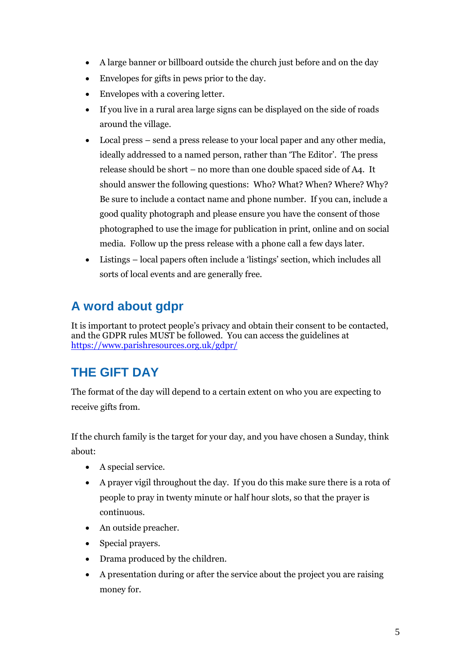- A large banner or billboard outside the church just before and on the day
- Envelopes for gifts in pews prior to the day.
- Envelopes with a covering letter.
- If you live in a rural area large signs can be displayed on the side of roads around the village.
- Local press send a press release to your local paper and any other media, ideally addressed to a named person, rather than 'The Editor'. The press release should be short – no more than one double spaced side of A4. It should answer the following questions: Who? What? When? Where? Why? Be sure to include a contact name and phone number. If you can, include a good quality photograph and please ensure you have the consent of those photographed to use the image for publication in print, online and on social media. Follow up the press release with a phone call a few days later.
- Listings local papers often include a 'listings' section, which includes all sorts of local events and are generally free.

# **A word about gdpr**

It is important to protect people's privacy and obtain their consent to be contacted, and the GDPR rules MUST be followed. You can access the guidelines at <https://www.parishresources.org.uk/gdpr/>

## **THE GIFT DAY**

The format of the day will depend to a certain extent on who you are expecting to receive gifts from.

If the church family is the target for your day, and you have chosen a Sunday, think about:

- A special service.
- A prayer vigil throughout the day. If you do this make sure there is a rota of people to pray in twenty minute or half hour slots, so that the prayer is continuous.
- An outside preacher.
- Special prayers.
- Drama produced by the children.
- A presentation during or after the service about the project you are raising money for.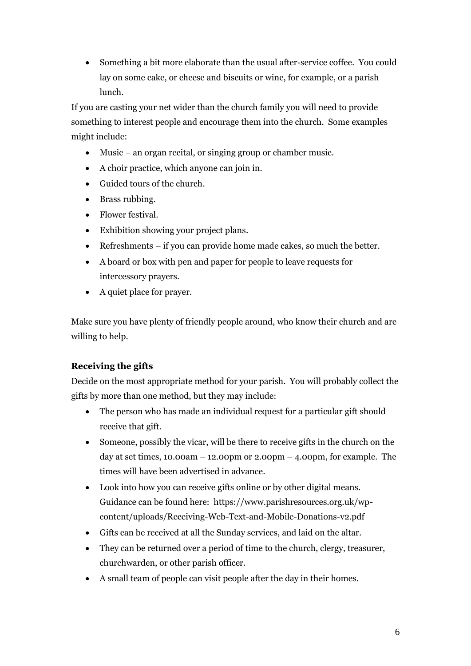Something a bit more elaborate than the usual after-service coffee. You could lay on some cake, or cheese and biscuits or wine, for example, or a parish lunch.

If you are casting your net wider than the church family you will need to provide something to interest people and encourage them into the church. Some examples might include:

- Music an organ recital, or singing group or chamber music.
- A choir practice, which anyone can join in.
- Guided tours of the church.
- Brass rubbing.
- Flower festival.
- Exhibition showing your project plans.
- Refreshments if you can provide home made cakes, so much the better.
- A board or box with pen and paper for people to leave requests for intercessory prayers.
- A quiet place for prayer.

Make sure you have plenty of friendly people around, who know their church and are willing to help.

#### **Receiving the gifts**

Decide on the most appropriate method for your parish. You will probably collect the gifts by more than one method, but they may include:

- The person who has made an individual request for a particular gift should receive that gift.
- Someone, possibly the vicar, will be there to receive gifts in the church on the day at set times,  $10.00am - 12.00pm$  or  $2.00pm - 4.00pm$ , for example. The times will have been advertised in advance.
- Look into how you can receive gifts online or by other digital means. Guidance can be found here: https://www.parishresources.org.uk/wpcontent/uploads/Receiving-Web-Text-and-Mobile-Donations-v2.pdf
- Gifts can be received at all the Sunday services, and laid on the altar.
- They can be returned over a period of time to the church, clergy, treasurer, churchwarden, or other parish officer.
- A small team of people can visit people after the day in their homes.